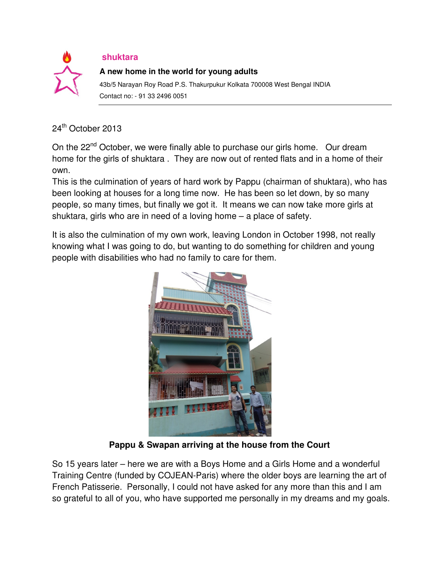

## **shuktara**

## **A new home in the world for young adults**

43b/5 Narayan Roy Road P.S. Thakurpukur Kolkata 700008 West Bengal INDIA Contact no: - 91 33 2496 0051

## 24<sup>th</sup> October 2013

On the 22<sup>nd</sup> October, we were finally able to purchase our girls home. Our dream home for the girls of shuktara . They are now out of rented flats and in a home of their own.

This is the culmination of years of hard work by Pappu (chairman of shuktara), who has been looking at houses for a long time now. He has been so let down, by so many people, so many times, but finally we got it. It means we can now take more girls at shuktara, girls who are in need of a loving home – a place of safety.

It is also the culmination of my own work, leaving London in October 1998, not really knowing what I was going to do, but wanting to do something for children and young people with disabilities who had no family to care for them.



**Pappu & Swapan arriving at the house from the Court**

So 15 years later – here we are with a Boys Home and a Girls Home and a wonderful Training Centre (funded by COJEAN-Paris) where the older boys are learning the art of French Patisserie. Personally, I could not have asked for any more than this and I am so grateful to all of you, who have supported me personally in my dreams and my goals.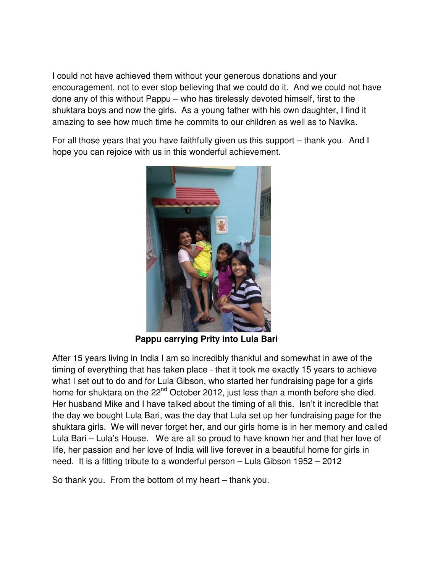I could not have achieved them without your generous donations and your encouragement, not to ever stop believing that we could do it. And we could not have done any of this without Pappu – who has tirelessly devoted himself, first to the shuktara boys and now the girls. As a young father with his own daughter, I find it amazing to see how much time he commits to our children as well as to Navika.

For all those years that you have faithfully given us this support – thank you. And I hope you can rejoice with us in this wonderful achievement.



**Pappu carrying Prity into Lula Bari**

After 15 years living in India I am so incredibly thankful and somewhat in awe of the timing of everything that has taken place - that it took me exactly 15 years to achieve what I set out to do and for Lula Gibson, who started her fundraising page for a girls home for shuktara on the 22<sup>nd</sup> October 2012, just less than a month before she died. Her husband Mike and I have talked about the timing of all this. Isn't it incredible that the day we bought Lula Bari, was the day that Lula set up her fundraising page for the shuktara girls. We will never forget her, and our girls home is in her memory and called Lula Bari – Lula's House. We are all so proud to have known her and that her love of life, her passion and her love of India will live forever in a beautiful home for girls in need. It is a fitting tribute to a wonderful person – Lula Gibson 1952 – 2012

So thank you. From the bottom of my heart – thank you.